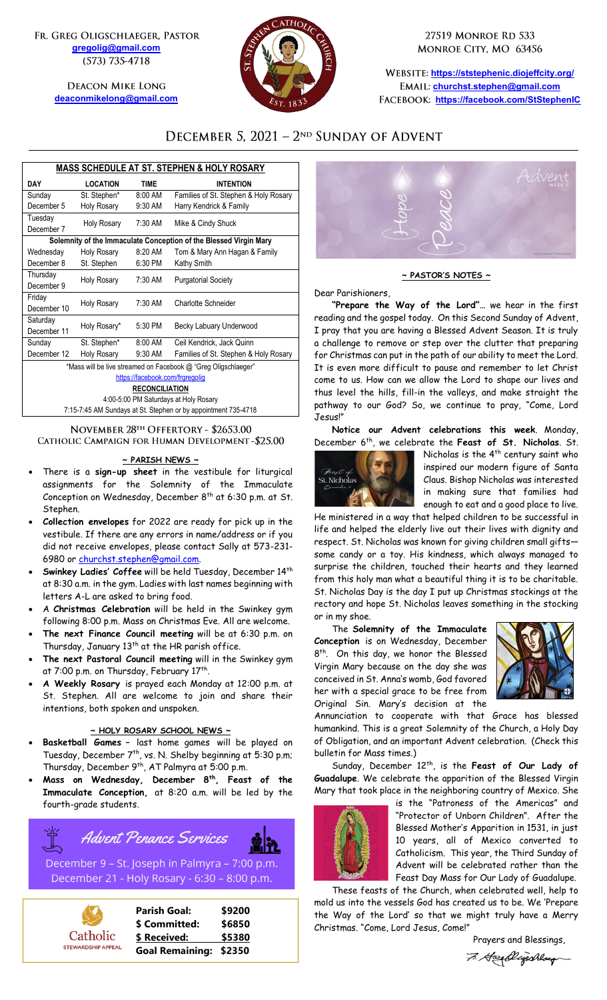FR. GREG OLIGSCHLAEGER, PASTOR **[gregolig@gmail.com](mailto:gregolig@gmail.com)** (573) 735-4718

> **DEACON MIKE LONG [deaconmikelong@gmail.com](mailto:deaconmikelong@gmail.com)**



27519 MONROE RD 533 MONROE CITY, MO 63456

**<https://ststephenic.diojeffcity.org/> [churchst.stephen@gmail.com](mailto:churchst.stephen@gmail.com) <https://facebook.com/StStephenIC>**

## DECEMBER 5, 2021 - 2<sup>ND</sup> SUNDAY OF ADVENT

| <b>MASS SCHEDULE AT ST. STEPHEN &amp; HOLY ROSARY</b>             |                    |             |                                       |  |  |
|-------------------------------------------------------------------|--------------------|-------------|---------------------------------------|--|--|
| DAY                                                               | <b>LOCATION</b>    | <b>TIME</b> | <b>INTENTION</b>                      |  |  |
| Sunday                                                            | St. Stephen*       | 8:00 AM     | Families of St. Stephen & Holy Rosary |  |  |
| December 5                                                        | <b>Holy Rosary</b> | 9:30 AM     | Harry Kendrick & Family               |  |  |
| Tuesday                                                           | <b>Holy Rosary</b> | 7:30 AM     | Mike & Cindy Shuck                    |  |  |
| December 7                                                        |                    |             |                                       |  |  |
| Solemnity of the Immaculate Conception of the Blessed Virgin Mary |                    |             |                                       |  |  |
| Wednesday                                                         | <b>Holy Rosary</b> | 8:20 AM     | Tom & Mary Ann Hagan & Family         |  |  |
| December 8                                                        | St. Stephen        | 6:30 PM     | Kathy Smith                           |  |  |
| Thursday                                                          | <b>Holy Rosary</b> | 7:30 AM     | <b>Purgatorial Society</b>            |  |  |
| December 9                                                        |                    |             |                                       |  |  |
| Friday                                                            | <b>Holy Rosary</b> | 7:30 AM     | Charlotte Schneider                   |  |  |
| December 10                                                       |                    |             |                                       |  |  |
| Saturday                                                          | Holy Rosary*       | 5:30 PM     | Becky Labuary Underwood               |  |  |
| December 11                                                       |                    |             |                                       |  |  |
| Sunday                                                            | St. Stephen*       | 8:00 AM     | Ceil Kendrick, Jack Quinn             |  |  |
| December 12                                                       | <b>Holy Rosary</b> | 9:30 AM     | Families of St. Stephen & Holy Rosary |  |  |
| *Mass will be live streamed on Facebook @ "Greg Oligschlaeger"    |                    |             |                                       |  |  |
| https://facebook.com/frgregolig                                   |                    |             |                                       |  |  |
| <b>RECONCILIATION</b>                                             |                    |             |                                       |  |  |
| 4:00-5:00 PM Saturdays at Holy Rosary                             |                    |             |                                       |  |  |

4:00-5:00 PM Saturdays at Holy Rosary 7:15-7:45 AM Sundays at St. Stephen or by appointment 735-4718

### NOVEMBER 28TH OFFERTORY - \$2653.00 CATHOLIC CAMPAIGN FOR HUMAN DEVELOPMENT-\$25.00

#### **~ PARISH NEWS ~**

- There is a **sign-up sheet** in the vestibule for liturgical assignments for the Solemnity of the Immaculate Conception on Wednesday, December  $8^{\text{th}}$  at 6:30 p.m. at St. Stephen.
- **Collection envelopes** for 2022 are ready for pick up in the vestibule. If there are any errors in name/address or if you did not receive envelopes, please contact Sally at 573-231 6980 or [churchst.stephen@gmail.com.](mailto:churchst.stephen@gmail.com)
- **Swinkey Ladies' Coffee** will be held Tuesday, December 14th at 8:30 a.m. in the gym. Ladies with last names beginning with letters A-L are asked to bring food.
- A **Christmas Celebration** will be held in the Swinkey gym following 8:00 p.m. Mass on Christmas Eve. All are welcome.
- **The next Finance Council meeting** will be at 6:30 p.m. on Thursday, January 13<sup>th</sup> at the HR parish office.
- **The next Pastoral Council meeting** will in the Swinkey gym at 7:00 p.m. on Thursday, February 17<sup>th</sup>.
- **A Weekly Rosary** is prayed each Monday at 12:00 p.m. at St. Stephen. All are welcome to join and share their intentions, both spoken and unspoken.

### **~ HOLY ROSARY SCHOOL NEWS ~**

- **Basketball Games –** last home games will be played on Tuesday, December 7<sup>th</sup>, vs. N. Shelby beginning at 5:30 p.m; Thursday, December 9th , AT Palmyra at 5:00 p.m.
- **Mass on Wednesday, December 8th , Feast of the Immaculate Conception,** at 8:20 a.m. will be led by the fourth-grade students.

**Advent Penance Services** 

December 9 - St. Joseph in Palmyra - 7:00 p.m. December 21 - Holy Rosary - 6:30 - 8:00 p.m.





#### **~ PASTOR'S NOTES ~**

Dear Parishioners,

**"Prepare the Way of the Lord"…** we hear in the first reading and the gospel today. On this Second Sunday of Advent, I pray that you are having a Blessed Advent Season. It is truly a challenge to remove or step over the clutter that preparing for Christmas can put in the path of our ability to meet the Lord. It is even more difficult to pause and remember to let Christ come to us. How can we allow the Lord to shape our lives and thus level the hills, fill-in the valleys, and make straight the pathway to our God? So, we continue to pray, "Come, Lord Jesus!"

**Notice our Advent celebrations this week**. Monday, December 6 th , we celebrate the **Feast of St. Nicholas**. St.



Nicholas is the 4<sup>th</sup> century saint who inspired our modern figure of Santa Claus. Bishop Nicholas was interested in making sure that families had enough to eat and a good place to live.

He ministered in a way that helped children to be successful in life and helped the elderly live out their lives with dignity and respect. St. Nicholas was known for giving children small gifts some candy or a toy. His kindness, which always managed to surprise the children, touched their hearts and they learned from this holy man what a beautiful thing it is to be charitable. St. Nicholas Day is the day I put up Christmas stockings at the rectory and hope St. Nicholas leaves something in the stocking or in my shoe.

The **Solemnity of the Immaculate Conception** is on Wednesday, December 8<sup>th</sup>. On this day, we honor the Blessed Virgin Mary because on the day she was conceived in St. Anna's womb, God favored her with a special grace to be free from Original Sin. Mary's decision at the



Annunciation to cooperate with that Grace has blessed humankind. This is a great Solemnity of the Church, a Holy Day of Obligation, and an important Advent celebration. (Check this bulletin for Mass times.)

Sunday, December 12<sup>th</sup>, is the Feast of Our Lady of **Guadalupe**. We celebrate the apparition of the Blessed Virgin Mary that took place in the neighboring country of Mexico. She



is the "Patroness of the Americas" and "Protector of Unborn Children". After the Blessed Mother's Apparition in 1531, in just 10 years, all of Mexico converted to Catholicism. This year, the Third Sunday of Advent will be celebrated rather than the Feast Day Mass for Our Lady of Guadalupe.

These feasts of the Church, when celebrated well, help to mold us into the vessels God has created us to be. We 'Prepare the Way of the Lord' so that we might truly have a Merry Christmas. "Come, Lord Jesus, Come!"

 Prayers and Blessings,7. Green Digschlaugh